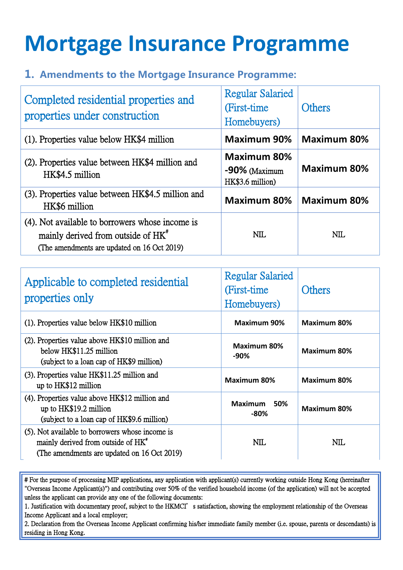## **Mortgage Insurance Programme**

## 1. Amendments to the Mortgage Insurance Programme:

| Completed residential properties and<br>properties under construction                                                                            | <b>Regular Salaried</b><br>(First-time)<br>Homebuyers)     | <b>Others</b>      |
|--------------------------------------------------------------------------------------------------------------------------------------------------|------------------------------------------------------------|--------------------|
| (1). Properties value below HK\$4 million                                                                                                        | <b>Maximum 90%</b>                                         | <b>Maximum 80%</b> |
| (2). Properties value between HK\$4 million and<br>HK\$4.5 million                                                                               | <b>Maximum 80%</b><br>$-90\%$ (Maximum<br>HK\$3.6 million) | <b>Maximum 80%</b> |
| (3). Properties value between HK\$4.5 million and<br>HK\$6 million                                                                               | <b>Maximum 80%</b>                                         | <b>Maximum 80%</b> |
| (4). Not available to borrowers whose income is<br>mainly derived from outside of HK <sup>"</sup><br>(The amendments are updated on 16 Oct 2019) | NIL.                                                       | NIL                |

| Applicable to completed residential<br>properties only                                                                                           | <b>Regular Salaried</b><br>(First-time)<br>Homebuyers) | Others             |
|--------------------------------------------------------------------------------------------------------------------------------------------------|--------------------------------------------------------|--------------------|
| (1). Properties value below HK\$10 million                                                                                                       | <b>Maximum 90%</b>                                     | <b>Maximum 80%</b> |
| (2). Properties value above HK\$10 million and<br>below HK\$11.25 million<br>(subject to a loan cap of HK\$9 million)                            | Maximum 80%<br>-90%                                    | <b>Maximum 80%</b> |
| (3). Properties value HK\$11.25 million and<br>up to HK\$12 million                                                                              | <b>Maximum 80%</b>                                     | <b>Maximum 80%</b> |
| (4). Properties value above HK\$12 million and<br>up to HK\$19.2 million<br>(subject to a loan cap of HK\$9.6 million)                           | <b>Maximum</b><br>50%<br>$-80%$                        | <b>Maximum 80%</b> |
| (5). Not available to borrowers whose income is<br>mainly derived from outside of HK <sup>*</sup><br>(The amendments are updated on 16 Oct 2019) | NIL                                                    | NIL                |

# For the purpose of processing MIP applications, any application with applicant(s) currently working outside Hong Kong (hereinafter "Overseas Income Applicant(s)") and contributing over 50% of the verified household income (of the application) will not be accepted unless the applicant can provide any one of the following documents:

1. Justification with documentary proof, subject to the HKMCI's satisfaction, showing the employment relationship of the Overseas Income Applicant and a local employer;

2. Declaration from the Overseas Income Applicant confirming his/her immediate family member (i.e. spouse, parents or descendants) is residing in Hong Kong.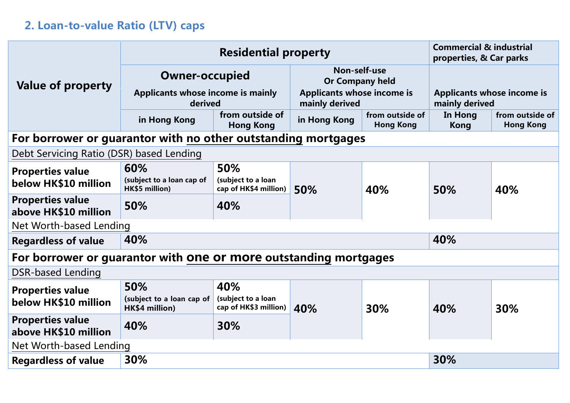## 2. Loan-to-value Ratio (LTV) caps

|                                                                  | <b>Residential property</b>                                                                       |                                                    |                                                     | <b>Commercial &amp; industrial</b><br>properties, & Car parks |                                                     |                                     |
|------------------------------------------------------------------|---------------------------------------------------------------------------------------------------|----------------------------------------------------|-----------------------------------------------------|---------------------------------------------------------------|-----------------------------------------------------|-------------------------------------|
| Value of property                                                | <b>Owner-occupied</b>                                                                             |                                                    | Non-self-use<br><b>Or Company held</b>              |                                                               |                                                     |                                     |
|                                                                  | Applicants whose income is mainly<br>derived                                                      |                                                    | <b>Applicants whose income is</b><br>mainly derived |                                                               | <b>Applicants whose income is</b><br>mainly derived |                                     |
|                                                                  | in Hong Kong                                                                                      | from outside of<br><b>Hong Kong</b>                | in Hong Kong                                        | from outside of<br><b>Hong Kong</b>                           | In Hong<br><b>Kong</b>                              | from outside of<br><b>Hong Kong</b> |
| For borrower or guarantor with no other outstanding mortgages    |                                                                                                   |                                                    |                                                     |                                                               |                                                     |                                     |
| Debt Servicing Ratio (DSR) based Lending                         |                                                                                                   |                                                    |                                                     |                                                               |                                                     |                                     |
| <b>Properties value</b>                                          | 60%                                                                                               | 50%                                                |                                                     |                                                               |                                                     |                                     |
| below HK\$10 million                                             | (subject to a loan cap of<br>(subject to a loan<br>HK\$5 million)<br>cap of HK\$4 million)<br>50% | 40%                                                | 50%                                                 | 40%                                                           |                                                     |                                     |
| <b>Properties value</b><br>above HK\$10 million                  | 50%                                                                                               | 40%                                                |                                                     |                                                               |                                                     |                                     |
| Net Worth-based Lending                                          |                                                                                                   |                                                    |                                                     |                                                               |                                                     |                                     |
| <b>Regardless of value</b>                                       | 40%                                                                                               |                                                    |                                                     | 40%                                                           |                                                     |                                     |
| For borrower or guarantor with one or more outstanding mortgages |                                                                                                   |                                                    |                                                     |                                                               |                                                     |                                     |
| <b>DSR-based Lending</b>                                         |                                                                                                   |                                                    |                                                     |                                                               |                                                     |                                     |
| <b>Properties value</b><br>below HK\$10 million                  | 50%<br>(subject to a loan cap of<br>HK\$4 million)                                                | 40%<br>(subject to a loan<br>cap of HK\$3 million) | 40%                                                 | 30%                                                           | 40%                                                 | 30%                                 |
| <b>Properties value</b><br>above HK\$10 million                  | 40%                                                                                               | 30%                                                |                                                     |                                                               |                                                     |                                     |
| Net Worth-based Lending                                          |                                                                                                   |                                                    |                                                     |                                                               |                                                     |                                     |
| <b>Regardless of value</b>                                       | 30%                                                                                               |                                                    |                                                     | 30%                                                           |                                                     |                                     |